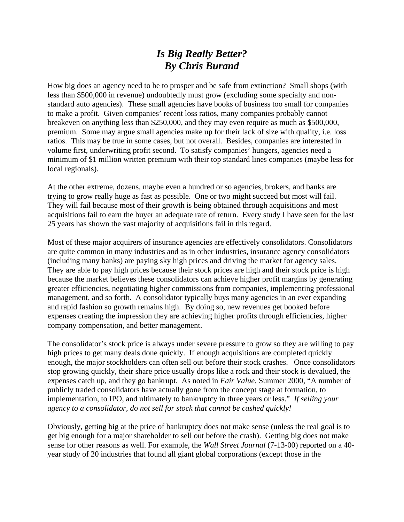## *Is Big Really Better? By Chris Burand*

How big does an agency need to be to prosper and be safe from extinction? Small shops (with less than \$500,000 in revenue) undoubtedly must grow (excluding some specialty and nonstandard auto agencies). These small agencies have books of business too small for companies to make a profit. Given companies' recent loss ratios, many companies probably cannot breakeven on anything less than \$250,000, and they may even require as much as \$500,000, premium. Some may argue small agencies make up for their lack of size with quality, i.e. loss ratios. This may be true in some cases, but not overall. Besides, companies are interested in volume first, underwriting profit second. To satisfy companies' hungers, agencies need a minimum of \$1 million written premium with their top standard lines companies (maybe less for local regionals).

At the other extreme, dozens, maybe even a hundred or so agencies, brokers, and banks are trying to grow really huge as fast as possible. One or two might succeed but most will fail. They will fail because most of their growth is being obtained through acquisitions and most acquisitions fail to earn the buyer an adequate rate of return. Every study I have seen for the last 25 years has shown the vast majority of acquisitions fail in this regard.

Most of these major acquirers of insurance agencies are effectively consolidators. Consolidators are quite common in many industries and as in other industries, insurance agency consolidators (including many banks) are paying sky high prices and driving the market for agency sales. They are able to pay high prices because their stock prices are high and their stock price is high because the market believes these consolidators can achieve higher profit margins by generating greater efficiencies, negotiating higher commissions from companies, implementing professional management, and so forth. A consolidator typically buys many agencies in an ever expanding and rapid fashion so growth remains high. By doing so, new revenues get booked before expenses creating the impression they are achieving higher profits through efficiencies, higher company compensation, and better management.

The consolidator's stock price is always under severe pressure to grow so they are willing to pay high prices to get many deals done quickly. If enough acquisitions are completed quickly enough, the major stockholders can often sell out before their stock crashes. Once consolidators stop growing quickly, their share price usually drops like a rock and their stock is devalued, the expenses catch up, and they go bankrupt. As noted in *Fair Value*, Summer 2000, "A number of publicly traded consolidators have actually gone from the concept stage at formation, to implementation, to IPO, and ultimately to bankruptcy in three years or less." *If selling your agency to a consolidator, do not sell for stock that cannot be cashed quickly!* 

Obviously, getting big at the price of bankruptcy does not make sense (unless the real goal is to get big enough for a major shareholder to sell out before the crash). Getting big does not make sense for other reasons as well. For example, the *Wall Street Journal* (7-13-00) reported on a 40 year study of 20 industries that found all giant global corporations (except those in the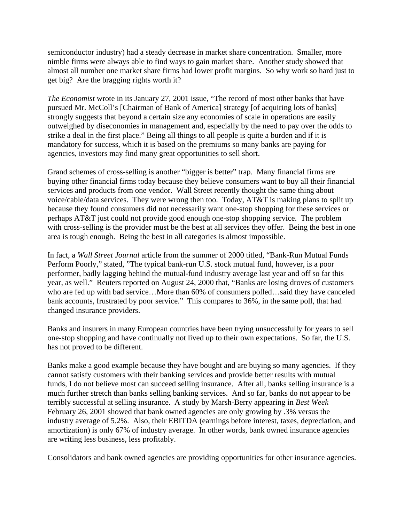semiconductor industry) had a steady decrease in market share concentration. Smaller, more nimble firms were always able to find ways to gain market share. Another study showed that almost all number one market share firms had lower profit margins. So why work so hard just to get big? Are the bragging rights worth it?

*The Economist* wrote in its January 27, 2001 issue, "The record of most other banks that have pursued Mr. McColl's [Chairman of Bank of America] strategy [of acquiring lots of banks] strongly suggests that beyond a certain size any economies of scale in operations are easily outweighed by diseconomies in management and, especially by the need to pay over the odds to strike a deal in the first place." Being all things to all people is quite a burden and if it is mandatory for success, which it is based on the premiums so many banks are paying for agencies, investors may find many great opportunities to sell short.

Grand schemes of cross-selling is another "bigger is better" trap. Many financial firms are buying other financial firms today because they believe consumers want to buy all their financial services and products from one vendor. Wall Street recently thought the same thing about voice/cable/data services. They were wrong then too. Today, AT&T is making plans to split up because they found consumers did not necessarily want one-stop shopping for these services or perhaps AT&T just could not provide good enough one-stop shopping service. The problem with cross-selling is the provider must be the best at all services they offer. Being the best in one area is tough enough. Being the best in all categories is almost impossible.

In fact, a *Wall Street Journal* article from the summer of 2000 titled, "Bank-Run Mutual Funds Perform Poorly," stated, "The typical bank-run U.S. stock mutual fund, however, is a poor performer, badly lagging behind the mutual-fund industry average last year and off so far this year, as well." Reuters reported on August 24, 2000 that, "Banks are losing droves of customers who are fed up with bad service…More than 60% of consumers polled…said they have canceled bank accounts, frustrated by poor service." This compares to 36%, in the same poll, that had changed insurance providers.

Banks and insurers in many European countries have been trying unsuccessfully for years to sell one-stop shopping and have continually not lived up to their own expectations. So far, the U.S. has not proved to be different.

Banks make a good example because they have bought and are buying so many agencies. If they cannot satisfy customers with their banking services and provide better results with mutual funds, I do not believe most can succeed selling insurance. After all, banks selling insurance is a much further stretch than banks selling banking services. And so far, banks do not appear to be terribly successful at selling insurance. A study by Marsh-Berry appearing in *Best Week* February 26, 2001 showed that bank owned agencies are only growing by .3% versus the industry average of 5.2%. Also, their EBITDA (earnings before interest, taxes, depreciation, and amortization) is only 67% of industry average. In other words, bank owned insurance agencies are writing less business, less profitably.

Consolidators and bank owned agencies are providing opportunities for other insurance agencies.